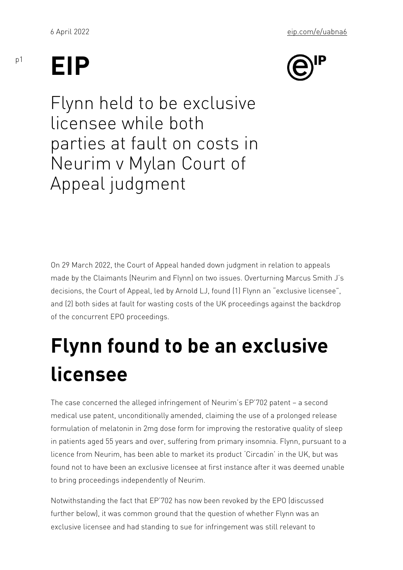## EIP

p1

Flynn held to be exclusive licensee while both parties at fault on costs in Neurim v Mylan Court of Appeal judgment

On 29 March 2022, the Court of Appeal handed down judgment in re made by the Claimants (Neurim and Flynn) on two issues. Overturn decisions, the Court of Appeal, led by Arnold LJ, found (1) Flynn a and (2) both sides at fault for wasting costs of the UK proceedings of the concurrent EPO proceedings.

## Flynn found to be an exc licensee

The case concerned the alleged infringement of Neurim s EP 702 p medical use patent, unconditionally amended, claiming the use of a formulation of melatonin in 2mg dose form for improving the restor in patients aged 55 years and over, suffering from primary insomni licence from Neurim, has been able to market its product Circadin found not to have been an exclusive licensee at first instance after to bring proceedings independently of Neurim.

Notwithstanding the fact that EP 702 has now been revoked by the further below), it was common ground that the question of whether exclusive licensee and had standing to sue for infringement was st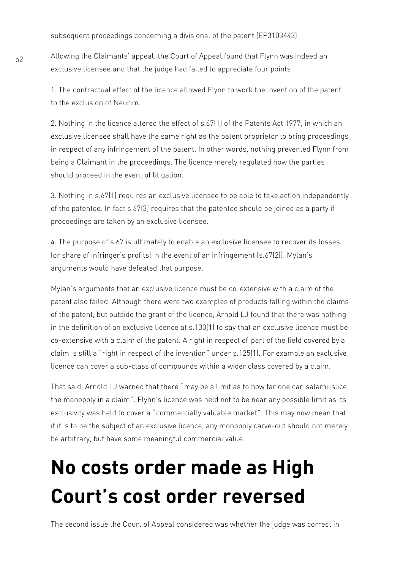subsequent proceedings concerning a divisional of the patent (EP3103443).

Allowing the Claimants' appeal, the Court of Appeal found that Flynn was indeed an exclusive licensee and that the judge had failed to appreciate four points:

1. The contractual effect of the licence allowed Flynn to work the invention of the patent to the exclusion of Neurim.

2. Nothing in the licence altered the effect of s.67(1) of the Patents Act 1977, in which an exclusive licensee shall have the same right as the patent proprietor to bring proceedings in respect of any infringement of the patent. In other words, nothing prevented Flynn from being a Claimant in the proceedings. The licence merely regulated how the parties should proceed in the event of litigation.

3. Nothing in s.67(1) requires an exclusive licensee to be able to take action independently of the patentee. In fact s.67(3) requires that the patentee should be joined as a party if proceedings are taken by an exclusive licensee.

4. The purpose of s.67 is ultimately to enable an exclusive licensee to recover its losses (or share of infringer's profits) in the event of an infringement (s.67(2)). Mylan's arguments would have defeated that purpose.

Mylan's arguments that an exclusive licence must be co-extensive with a claim of the patent also failed. Although there were two examples of products falling within the claims of the patent, but outside the grant of the licence, Arnold LJ found that there was nothing in the definition of an exclusive licence at s.130(1) to say that an exclusive licence must be co-extensive with a claim of the patent. A right in respect of part of the field covered by a claim is still a "right in respect of the invention" under s.125(1). For example an exclusive licence can cover a sub-class of compounds within a wider class covered by a claim.

That said, Arnold LJ warned that there "may be a limit as to how far one can salami-slice the monopoly in a claim". Flynn's licence was held not to be near any possible limit as its exclusivity was held to cover a "commercially valuable market". This may now mean that if it is to be the subject of an exclusive licence, any monopoly carve-out should not merely be arbitrary, but have some meaningful commercial value.

## **No costs order made as High Court's cost order reversed**

The second issue the Court of Appeal considered was whether the judge was correct in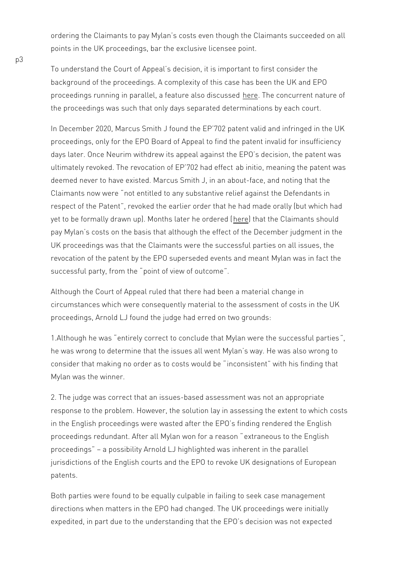ordering the Claimants to pay Mylan s costs even though the Claim points in the UK proceedings, bar the exclusive licensee point.

To understand the Court of Appeal s decision, it is important to fir background of the proceedings. A complexity of this case has been proceedings running in parallel, a f**eate** Then also not us rores stendature of the proceedings was such that only days separated determinations

In December 2020, Marcus Smith J [fou](https://www.eip.com/uk/updates/article/neurim_presses_on_with_uk_action_over_insomnia_patent_despite_parallel_epo_proceedings)nd the EP 702 patent valid a proceedings, only for the EPO Board of Appeal to find the patent in days later. Once Neurim withdrew its appeal against the EPO s dec ultimately revoked. The revocationabfiEinPtinoTeOa2n hangod tot fefect and was deemed never to have existed. Marcus Smith J, in an about-face, a Claimants now executived to any substantive relief against the  $Def$ respect of the, Pratent the earlier order that he had made orally (but which had made or ally the same  $\mu$ yet to be formally drawn up). Monthes leither the eoCroise imenal not should pay Mylan s costs on the basis that although the effect of the Dece UK proceedings was that the Clai[man](https://www.bailii.org/cgi-bin/format.cgi?doc=/ew/cases/EWHC/Patents/2021/530.html&query=(Neurim)+AND+("not)+AND+(entitled)+AND+(to)+AND+(any)+AND+(substantive)+AND+(relief)+AND+(against)+AND+(the)+AND+(Defendants)+AND+(in)+AND+(respect)+AND+(of)+AND+(the)+AND+(Patent"))ts were the successful parties revocation of the patent by the EPO superseded events and meant successful party, pfor brow the biew of outcome

Although the Court of Appeal ruled that there had been a material circumstances which were consequently material to the assessment proceedings, Arnold LJ found the judge had erred on two grounds:

1.Although heenwimely correct to conclude that Mylan were the succe he was wrong to determine that the issues all went Mylan s way. He consider that making no order as into conosists www.iblublishetinding that Mylan was the winner.

2. The judge was correct that an issues-based assessment was not response to the problem. However, the solution lay in assessing th in the English proceedings were wasted after the EPO s finding ren proceedings redundant. After all Myleaxntraw noenofuosar tao ntehaes Esmiglish proceedings possibility Arnold LJ highlighted was inherent in the p jurisdictions of the English courts and the EPO to revoke UK desig patents.

Both parties were found to be equally culpable in failing to seek ca directions when matters in the EPO had changed. The UK proceedir expedited, in part due to the understanding that the EPO s decision

p3